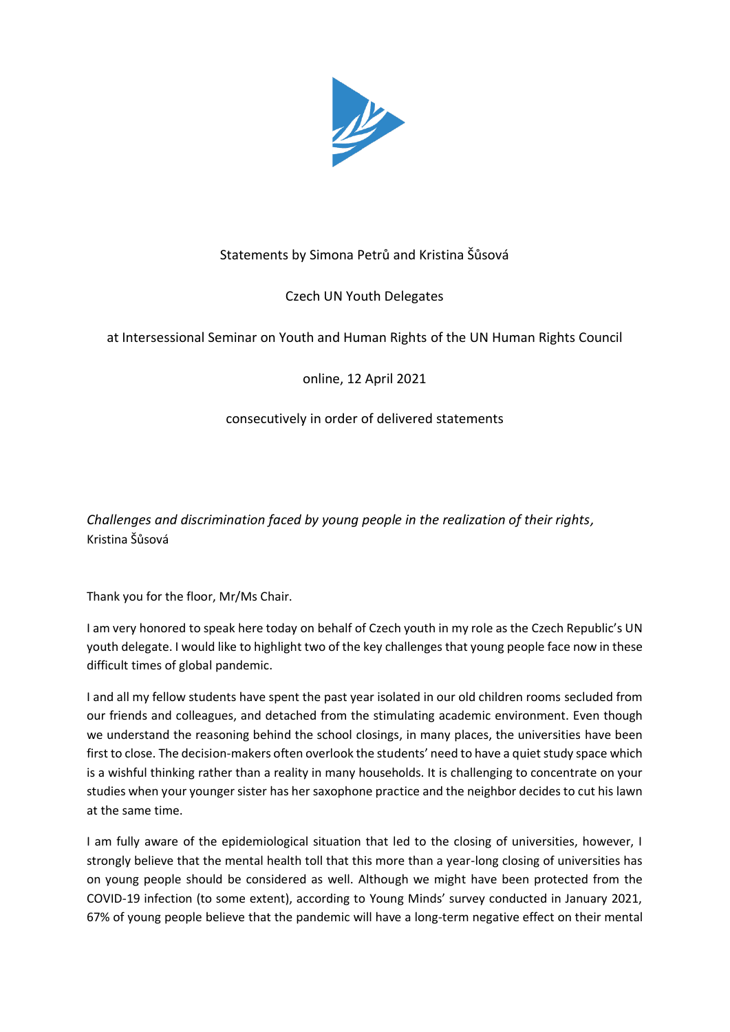

# Statements by Simona Petrů and Kristina Šůsová

# Czech UN Youth Delegates

## at Intersessional Seminar on Youth and Human Rights of the UN Human Rights Council

## online, 12 April 2021

### consecutively in order of delivered statements

*Challenges and discrimination faced by young people in the realization of their rights,* Kristina Šůsová

Thank you for the floor, Mr/Ms Chair.

I am very honored to speak here today on behalf of Czech youth in my role as the Czech Republic's UN youth delegate. I would like to highlight two of the key challenges that young people face now in these difficult times of global pandemic.

I and all my fellow students have spent the past year isolated in our old children rooms secluded from our friends and colleagues, and detached from the stimulating academic environment. Even though we understand the reasoning behind the school closings, in many places, the universities have been first to close. The decision-makers often overlook the students' need to have a quiet study space which is a wishful thinking rather than a reality in many households. It is challenging to concentrate on your studies when your younger sister has her saxophone practice and the neighbor decides to cut his lawn at the same time.

I am fully aware of the epidemiological situation that led to the closing of universities, however, I strongly believe that the mental health toll that this more than a year-long closing of universities has on young people should be considered as well. Although we might have been protected from the COVID-19 infection (to some extent), according to Young Minds' survey conducted in January 2021, 67% of young people believe that the pandemic will have a long-term negative effect on their mental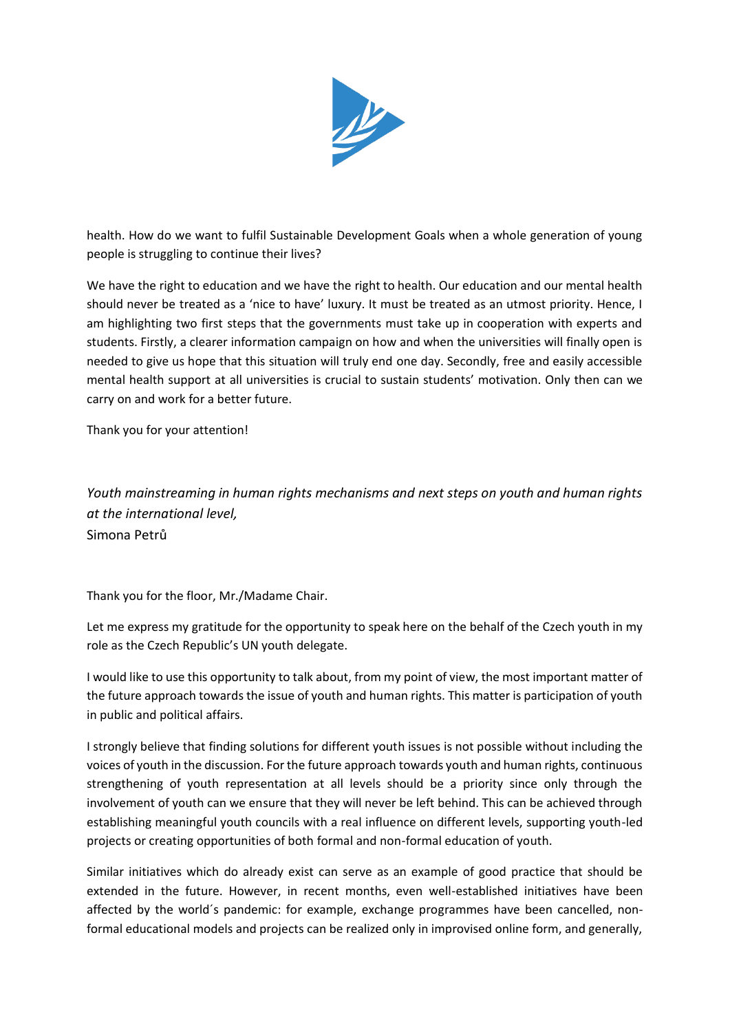

health. How do we want to fulfil Sustainable Development Goals when a whole generation of young people is struggling to continue their lives?

We have the right to education and we have the right to health. Our education and our mental health should never be treated as a 'nice to have' luxury. It must be treated as an utmost priority. Hence, I am highlighting two first steps that the governments must take up in cooperation with experts and students. Firstly, a clearer information campaign on how and when the universities will finally open is needed to give us hope that this situation will truly end one day. Secondly, free and easily accessible mental health support at all universities is crucial to sustain students' motivation. Only then can we carry on and work for a better future.

Thank you for your attention!

*Youth mainstreaming in human rights mechanisms and next steps on youth and human rights at the international level,* Simona Petrů

Thank you for the floor, Mr./Madame Chair.

Let me express my gratitude for the opportunity to speak here on the behalf of the Czech youth in my role as the Czech Republic's UN youth delegate.

I would like to use this opportunity to talk about, from my point of view, the most important matter of the future approach towards the issue of youth and human rights. This matter is participation of youth in public and political affairs.

I strongly believe that finding solutions for different youth issues is not possible without including the voices of youth in the discussion. For the future approach towards youth and human rights, continuous strengthening of youth representation at all levels should be a priority since only through the involvement of youth can we ensure that they will never be left behind. This can be achieved through establishing meaningful youth councils with a real influence on different levels, supporting youth-led projects or creating opportunities of both formal and non-formal education of youth.

Similar initiatives which do already exist can serve as an example of good practice that should be extended in the future. However, in recent months, even well-established initiatives have been affected by the world´s pandemic: for example, exchange programmes have been cancelled, nonformal educational models and projects can be realized only in improvised online form, and generally,